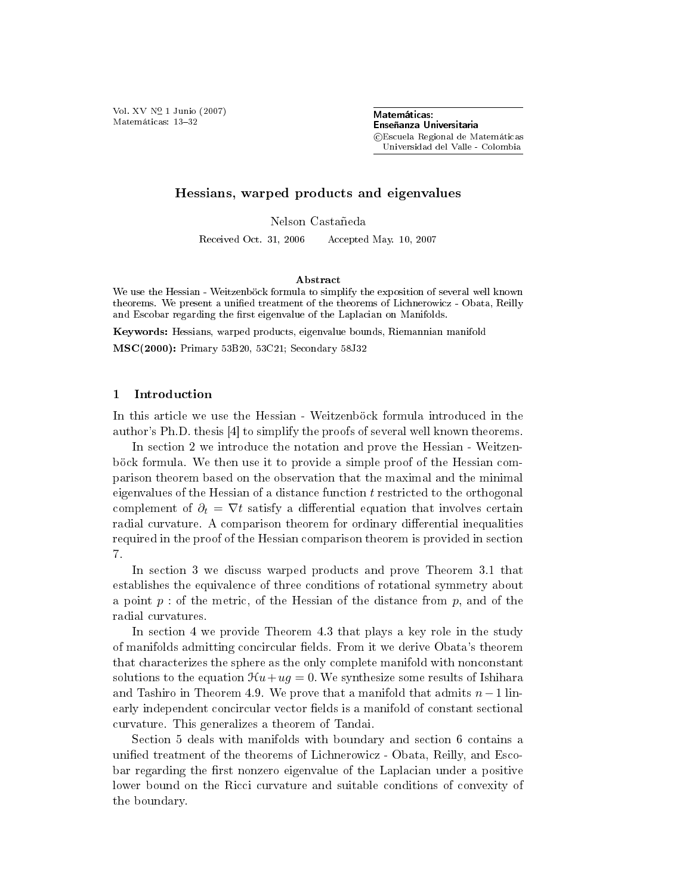Vol. XV Nº 1 Junio (2007) Matemáticas: 13-32

Matemáticas: Enseñanza Universitaria c Escuela Regional de Matemáticas Universidad del Valle - Colombia

# Hessians, warped products and eigenvalues

Nelson Castañeda

Received Oct. 31, 2006 Accepted May. 10, 2007

#### Abstract

We use the Hessian - Weitzenböck formula to simplify the exposition of several well known theorems. We present a unified treatment of the theorems of Lichnerowicz - Obata, Reilly and Escobar regarding the first eigenvalue of the Laplacian on Manifolds.

Keywords: Hessians, warped products, eigenvalue bounds, Riemannian manifold

MSC(2000): Primary 53B20, 53C21; Secondary 58J32

# 1 Introduction

In this article we use the Hessian - Weitzenböck formula introduced in the author's Ph.D. thesis [4] to simplify the proofs of several well known theorems.

In section 2 we introduce the notation and prove the Hessian - Weitzenböck formula. We then use it to provide a simple proof of the Hessian comparison theorem based on the observation that the maximal and the minimal eigenvalues of the Hessian of a distance function  $t$  restricted to the orthogonal complement of  $\partial_t = \nabla t$  satisfy a differential equation that involves certain radial curvature. A comparison theorem for ordinary differential inequalities required in the proof of the Hessian comparison theorem is provided in section 7.

In section 3 we discuss warped products and prove Theorem 3.1 that establishes the equivalence of three conditions of rotational symmetry about a point  $p$ : of the metric, of the Hessian of the distance from  $p$ , and of the radial curvatures.

In section 4 we provide Theorem 4.3 that plays a key role in the study of manifolds admitting concircular fields. From it we derive Obata's theorem that characterizes the sphere as the only complete manifold with nonconstant solutions to the equation  $\mathcal{H}u+uq=0$ . We synthesize some results of Ishihara and Tashiro in Theorem 4.9. We prove that a manifold that admits  $n-1$  linearly independent concircular vector fields is a manifold of constant sectional curvature. This generalizes a theorem of Tandai.

Section 5 deals with manifolds with boundary and section 6 contains a unified treatment of the theorems of Lichnerowicz - Obata, Reilly, and Escobar regarding the first nonzero eigenvalue of the Laplacian under a positive lower bound on the Ricci curvature and suitable conditions of convexity of the boundary.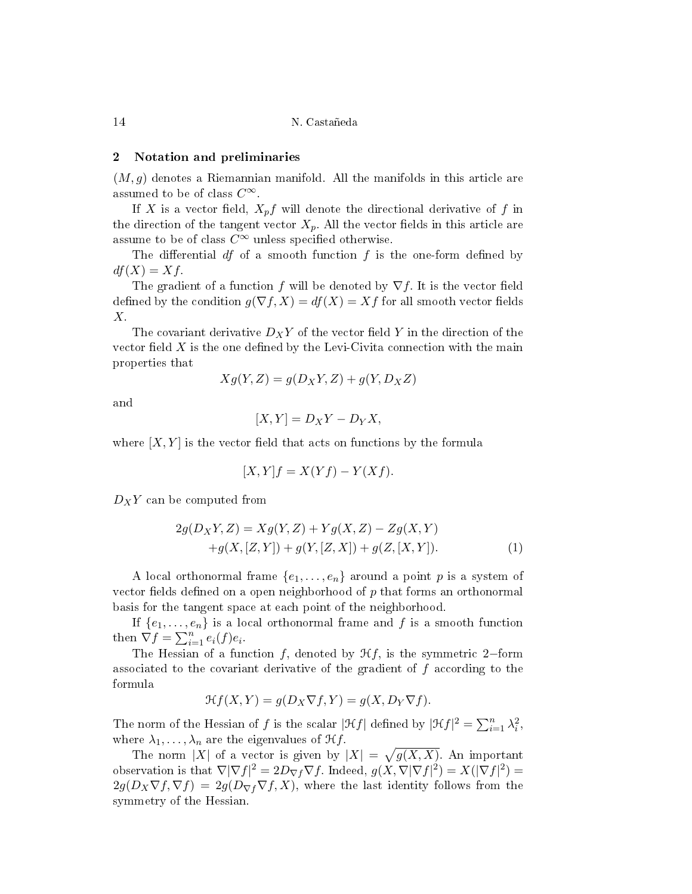### 2 Notation and preliminaries

 $(M, g)$  denotes a Riemannian manifold. All the manifolds in this article are assumed to be of class  $C^{\infty}$ .

If X is a vector field,  $X_p f$  will denote the directional derivative of f in the direction of the tangent vector  $X_p$ . All the vector fields in this article are assume to be of class  $C^{\infty}$  unless specified otherwise.

The differential  $df$  of a smooth function  $f$  is the one-form defined by  $df(X) = Xf$ .

The gradient of a function f will be denoted by  $\nabla f$ . It is the vector field defined by the condition  $g(\nabla f, X) = df(X) = Xf$  for all smooth vector fields X.

The covariant derivative  $D_XY$  of the vector field Y in the direction of the vector field  $X$  is the one defined by the Levi-Civita connection with the main properties that

$$
Xg(Y, Z) = g(D_XY, Z) + g(Y, D_XZ)
$$

and

$$
[X,Y] = D_X Y - D_Y X,
$$

where  $[X, Y]$  is the vector field that acts on functions by the formula

$$
[X,Y]f = X(Yf) - Y(Xf).
$$

 $D_XY$  can be computed from

$$
2g(D_XY, Z) = Xg(Y, Z) + Yg(X, Z) - Zg(X, Y)
$$
  
+g(X, [Z, Y]) + g(Y, [Z, X]) + g(Z, [X, Y]). (1)

A local orthonormal frame  $\{e_1, \ldots, e_n\}$  around a point p is a system of vector fields defined on a open neighborhood of  $p$  that forms an orthonormal basis for the tangent space at each point of the neighborhood.

If  $\{e_1, \ldots, e_n\}$  is a local orthonormal frame and f is a smooth function then  $\nabla f = \sum_{i=1}^n e_i(f)e_i.$ 

The Hessian of a function f, denoted by  $\mathcal{H}f$ , is the symmetric 2–form associated to the covariant derivative of the gradient of  $f$  according to the formula

$$
\mathcal{H}f(X,Y) = g(D_X \nabla f, Y) = g(X, D_Y \nabla f).
$$

The norm of the Hessian of f is the scalar  $|\mathcal{H}f|$  defined by  $|\mathcal{H}f|^2 = \sum_{i=1}^n \lambda_i^2$ , where  $\lambda_1, \ldots, \lambda_n$  are the eigenvalues of  $\mathcal{H}f$ .

The norm |X| of a vector is given by  $|X| = \sqrt{g(X,X)}$ . An important observation is that  $\nabla |\nabla f|^2 = 2D_{\nabla f} \nabla f$ . Indeed,  $g(X, \nabla |\nabla f|^2) = X(|\nabla f|^2) =$  $2g(D_X\nabla f,\nabla f) = 2g(D_{\nabla f}\nabla f,X)$ , where the last identity follows from the symmetry of the Hessian.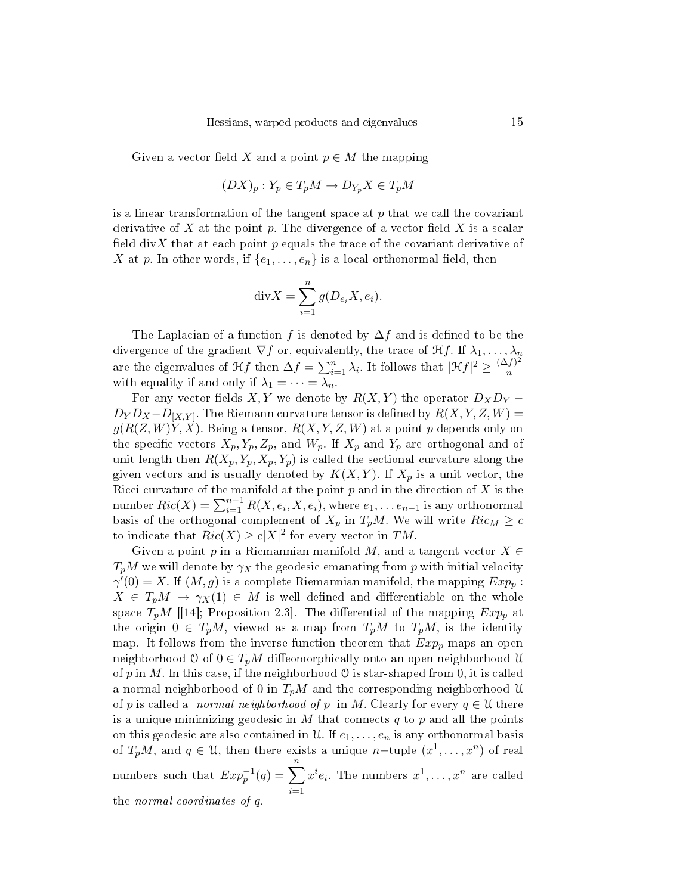Given a vector field X and a point  $p \in M$  the mapping

$$
(DX)_p: Y_p \in T_pM \to D_{Y_p}X \in T_pM
$$

is a linear transformation of the tangent space at  $p$  that we call the covariant derivative of X at the point p. The divergence of a vector field X is a scalar field divX that at each point p equals the trace of the covariant derivative of X at p. In other words, if  $\{e_1, \ldots, e_n\}$  is a local orthonormal field, then

$$
\mathrm{div}X = \sum_{i=1}^{n} g(D_{e_i}X, e_i).
$$

The Laplacian of a function f is denoted by  $\Delta f$  and is defined to be the divergence of the gradient  $\nabla f$  or, equivalently, the trace of  $\mathcal{H}f$ . If  $\lambda_1, \ldots, \lambda_n$ are the eigenvalues of  $\mathcal{H}f$  then  $\Delta f = \sum_{i=1}^n \lambda_i$ . It follows that  $|\mathcal{H}f|^2 \geq \frac{(\Delta f)^2}{n}$  $\overline{n}$ with equality if and only if  $\lambda_1 = \cdots = \lambda_n$ .

For any vector fields X, Y we denote by  $R(X, Y)$  the operator  $D_X D_Y$  –  $D_Y D_X - D_{[X,Y]}.$  The Riemann curvature tensor is defined by  $R(X,Y,Z,W) =$  $g(R(Z, W)Y, X)$ . Being a tensor,  $R(X, Y, Z, W)$  at a point p depends only on the specific vectors  $X_p, Y_p, Z_p$ , and  $W_p$ . If  $X_p$  and  $Y_p$  are orthogonal and of unit length then  $R(X_p, Y_p, X_p, Y_p)$  is called the sectional curvature along the given vectors and is usually denoted by  $K(X, Y)$ . If  $X_p$  is a unit vector, the Ricci curvature of the manifold at the point  $p$  and in the direction of  $X$  is the number  $Ric(X) = \sum_{i=1}^{n-1} R(X,e_i,X,e_i),$  where  $e_1,\ldots e_{n-1}$  is any orthonormal basis of the orthogonal complement of  $X_p$  in  $T_pM$ . We will write  $Ric_M \geq c$ to indicate that  $Ric(X) \geq c|X|^2$  for every vector in TM.

Given a point p in a Riemannian manifold M, and a tangent vector  $X \in$  $T_pM$  we will denote by  $\gamma_X$  the geodesic emanating from p with initial velocity  $\gamma'(0) = X.$  If  $(M, g)$  is a complete Riemannian manifold, the mapping  $Exp_p$  :  $X \in T_pM \to \gamma_X(1) \in M$  is well defined and differentiable on the whole space  $T_pM$  [[14]; Proposition 2.3]. The differential of the mapping  $Exp_p$  at the origin  $0 \in T_pM$ , viewed as a map from  $T_pM$  to  $T_pM$ , is the identity map. It follows from the inverse function theorem that  $Exp_p$  maps an open neighborhood O of  $0 \in T_pM$  diffeomorphically onto an open neighborhood U of p in M. In this case, if the neighborhood  $\mathcal O$  is star-shaped from 0, it is called a normal neighborhood of 0 in  $T_pM$  and the corresponding neighborhood U of p is called a *normal neighborhood of* p in M. Clearly for every  $q \in \mathcal{U}$  there is a unique minimizing geodesic in  $M$  that connects  $q$  to  $p$  and all the points on this geodesic are also contained in U. If  $e_1, \ldots, e_n$  is any orthonormal basis of  $T_pM$ , and  $q \in \mathcal{U}$ , then there exists a unique  $n$ -tuple  $(x^1, \ldots, x^n)$  of real numbers such that  $Exp_p^{-1}(q) = \sum_{n=1}^{n}$  $i=1$  $x^i e_i$ . The numbers  $x^1, \ldots, x^n$  are called the normal coordinates of q.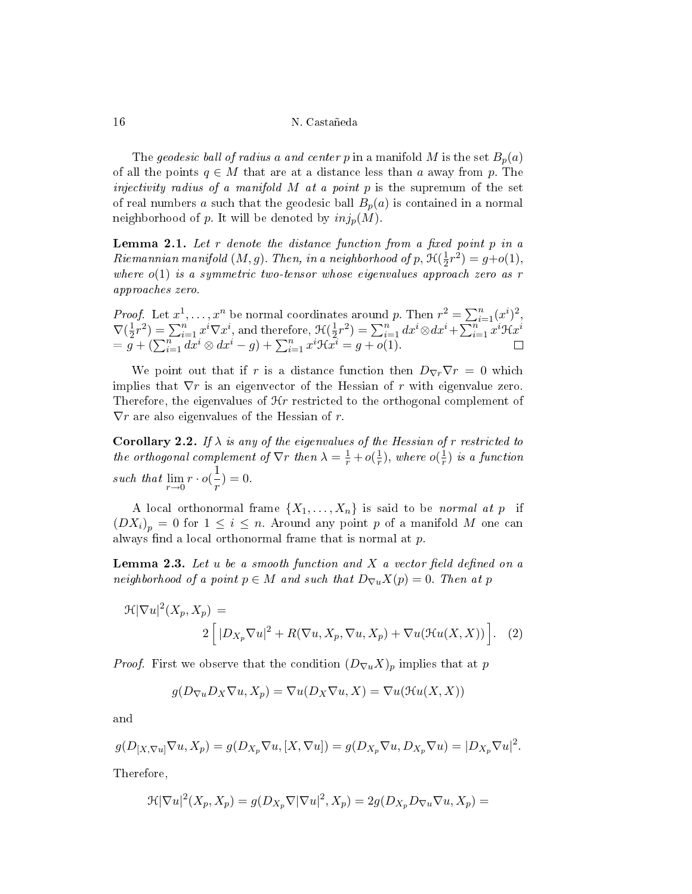The geodesic ball of radius a and center p in a manifold M is the set  $B_p(a)$ of all the points  $q \in M$  that are at a distance less than a away from p. The injectivity radius of a manifold  $M$  at a point  $p$  is the supremum of the set of real numbers a such that the geodesic ball  $B_p(a)$  is contained in a normal neighborhood of p. It will be denoted by  $inj_p(M)$ .

**Lemma 2.1.** Let r denote the distance function from a fixed point  $p$  in a Riemannian manifold  $(M, g)$ . Then, in a neighborhood of p,  $\mathcal{H}(\frac{1}{2})$  $(\frac{1}{2}r^2) = g + o(1),$ where  $o(1)$  is a symmetric two-tensor whose eigenvalues approach zero as r approaches zero.

*Proof.* Let  $x^1, \ldots, x^n$  be normal coordinates around p. Then  $r^2 = \sum_{i=1}^n (x^i)^2$ ,  $\nabla(\frac{1}{2})$  $(\frac{1}{2}r^2) = \sum_{i=1}^n x^i \nabla x^i$ , and therefore,  $\mathcal{H}(\frac{1}{2})$  $(\frac{1}{2}r^2) = \sum_{i=1}^n dx^i \otimes dx^i + \sum_{i=1}^n x^i \mathfrak{H} x^i$  $= g + (\sum_{i=1}^n dx^i \otimes dx^i - g) + \sum_{i=1}^n x^i \mathfrak{K} x^i = g + o(1).$ 

We point out that if r is a distance function then  $D_{\nabla r}\nabla r = 0$  which implies that  $\nabla r$  is an eigenvector of the Hessian of r with eigenvalue zero. Therefore, the eigenvalues of  $\mathcal{H}r$  restricted to the orthogonal complement of  $\nabla r$  are also eigenvalues of the Hessian of r.

**Corollary 2.2.** If  $\lambda$  is any of the eigenvalues of the Hessian of r restricted to the orthogonal complement of  $\nabla r$  then  $\lambda = \frac{1}{r} + o(\frac{1}{r})$  $(\frac{1}{r}),$  where  $o(\frac{1}{r})$  $(\frac{1}{r})$  is a function such that  $\lim_{r\to 0} r \cdot o(\frac{1}{r})$  $\frac{1}{r}) = 0.$ 

A local orthonormal frame  $\{X_1, \ldots, X_n\}$  is said to be normal at p if  $(DX_i)_p = 0$  for  $1 \leq i \leq n$ . Around any point p of a manifold M one can always find a local orthonormal frame that is normal at  $p$ .

**Lemma 2.3.** Let  $u$  be a smooth function and  $X$  a vector field defined on a neighborhood of a point  $p \in M$  and such that  $D_{\nabla u}X(p) = 0$ . Then at p

$$
\mathcal{H}|\nabla u|^2(X_p, X_p) =
$$
  
2  $\Big[ |D_{X_p}\nabla u|^2 + R(\nabla u, X_p, \nabla u, X_p) + \nabla u(\mathcal{H}u(X, X)) \Big].$  (2)

*Proof.* First we observe that the condition  $(D_{\nabla u} X)_p$  implies that at p

$$
g(D_{\nabla u}D_X \nabla u, X_p) = \nabla u(D_X \nabla u, X) = \nabla u(\mathcal{H}u(X, X))
$$

and

$$
g(D_{[X,\nabla u]}\nabla u, X_p) = g(D_{X_p}\nabla u, [X,\nabla u]) = g(D_{X_p}\nabla u, D_{X_p}\nabla u) = |D_{X_p}\nabla u|^2.
$$

Therefore,

$$
\mathcal{H}|\nabla u|^2(X_p,X_p) = g(D_{X_p}\nabla|\nabla u|^2,X_p) = 2g(D_{X_p}D_{\nabla u}\nabla u,X_p) =
$$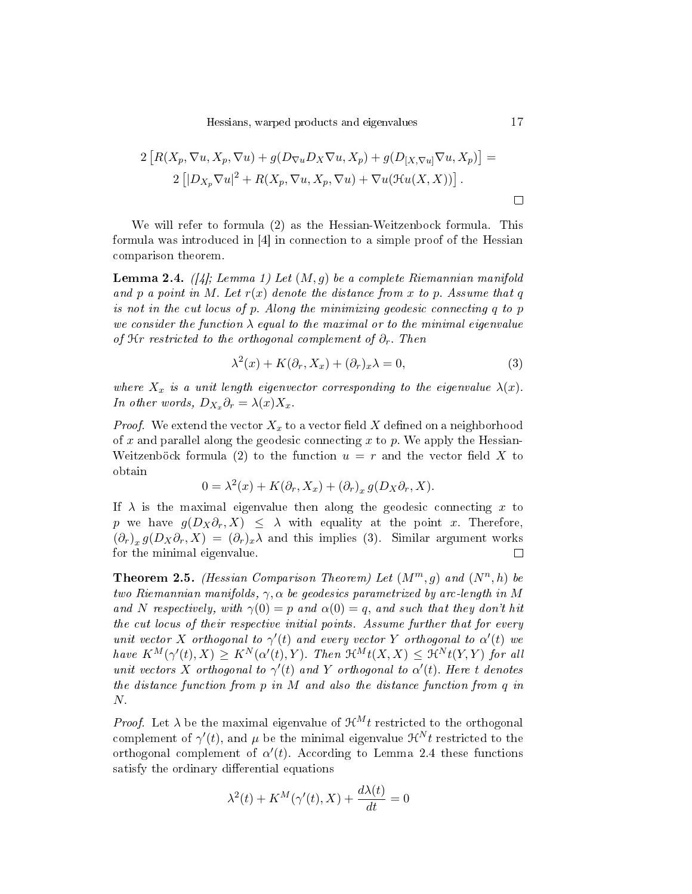Hessians, warped products and eigenvalues 17

$$
2 [R(X_p, \nabla u, X_p, \nabla u) + g(D_{\nabla u}D_X \nabla u, X_p) + g(D_{[X, \nabla u]} \nabla u, X_p)] =
$$
  

$$
2 [|D_{X_p} \nabla u|^2 + R(X_p, \nabla u, X_p, \nabla u) + \nabla u(\mathcal{H}u(X, X))].
$$

We will refer to formula (2) as the Hessian-Weitzenbock formula. This formula was introduced in [4] in connection to a simple proof of the Hessian comparison theorem.

**Lemma 2.4.** ([4]; Lemma 1) Let  $(M, g)$  be a complete Riemannian manifold and p a point in M. Let  $r(x)$  denote the distance from x to p. Assume that q is not in the cut locus of p. Along the minimizing geodesic connecting q to p we consider the function  $\lambda$  equal to the maximal or to the minimal eigenvalue of  $\mathcal{H}$ r restricted to the orthogonal complement of  $\partial_r$ . Then

$$
\lambda^{2}(x) + K(\partial_{r}, X_{x}) + (\partial_{r})_{x}\lambda = 0,
$$
\n(3)

where  $X_x$  is a unit length eigenvector corresponding to the eigenvalue  $\lambda(x)$ . In other words,  $D_{X_x}\partial_r = \lambda(x)X_x$ .

*Proof.* We extend the vector  $X_x$  to a vector field X defined on a neighborhood of x and parallel along the geodesic connecting x to p. We apply the Hessian-Weitzenböck formula (2) to the function  $u = r$  and the vector field X to obtain

$$
0 = \lambda^{2}(x) + K(\partial_{r}, X_{x}) + (\partial_{r})_{x} g(D_{X}\partial_{r}, X).
$$

If  $\lambda$  is the maximal eigenvalue then along the geodesic connecting x to p we have  $g(D_X\partial_r, X) \leq \lambda$  with equality at the point x. Therefore,  $(\partial_r)_x g(D_X \partial_r, X) = (\partial_r)_x \lambda$  and this implies (3). Similar argument works for the minimal eigenvalue.  $\Box$ 

**Theorem 2.5.** (Hessian Comparison Theorem) Let  $(M^m, g)$  and  $(N^n, h)$  be two Riemannian manifolds,  $\gamma$ ,  $\alpha$  be geodesics parametrized by arc-length in M and N respectively, with  $\gamma(0) = p$  and  $\alpha(0) = q$ , and such that they don't hit the cut locus of their respective initial points. Assume further that for every unit vector X orthogonal to  $\gamma'(t)$  and every vector Y orthogonal to  $\alpha'(t)$  we have  $K^M(\gamma'(t),X) \geq K^N(\alpha'(t),Y)$ . Then  $\mathfrak{H}^M t(X,X) \leq \mathfrak{H}^N t(Y,Y)$  for all unit vectors X orthogonal to  $\gamma'(t)$  and Y orthogonal to  $\alpha'(t)$ . Here t denotes the distance function from p in M and also the distance function from q in N.

*Proof.* Let  $\lambda$  be the maximal eigenvalue of  $\mathcal{H}^{M}t$  restricted to the orthogonal complement of  $\gamma'(t)$ , and  $\mu$  be the minimal eigenvalue  $\mathcal{H}^N t$  restricted to the orthogonal complement of  $\alpha'(t)$ . According to Lemma 2.4 these functions satisfy the ordinary differential equations

$$
\lambda^{2}(t) + K^{M}(\gamma'(t), X) + \frac{d\lambda(t)}{dt} = 0
$$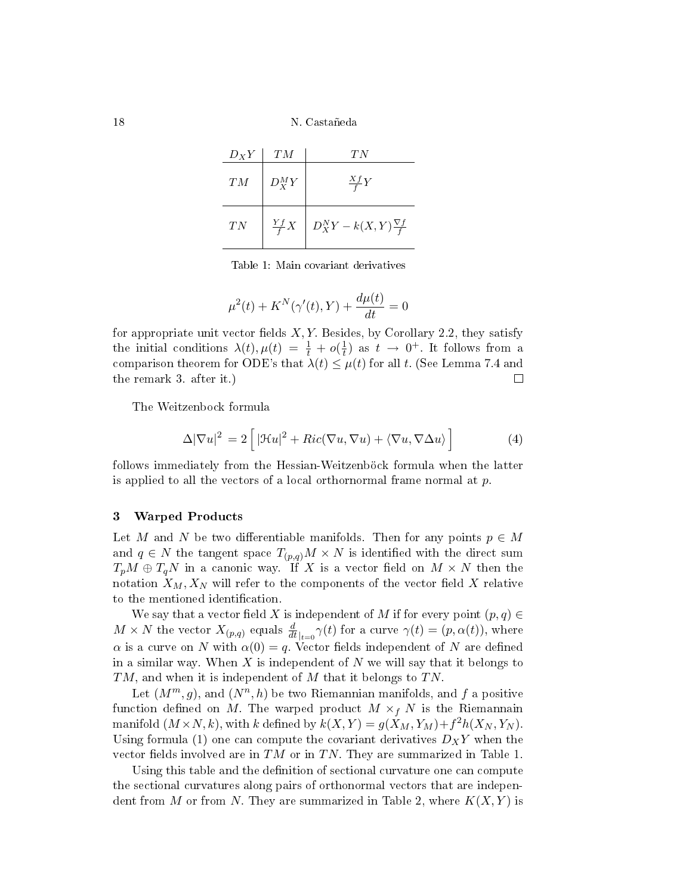| $D_X Y$ | TМ              | TN                                    |
|---------|-----------------|---------------------------------------|
| TM      | $D_X^M Y$       | $\frac{Xf}{f}Y$                       |
| TN      | $\frac{Yf}{f}X$ | $D_X^N Y - k(X,Y) \frac{\nabla f}{f}$ |

Table 1: Main covariant derivatives

$$
\mu^{2}(t) + K^{N}(\gamma'(t), Y) + \frac{d\mu(t)}{dt} = 0
$$

for appropriate unit vector fields  $X, Y$ . Besides, by Corollary 2.2, they satisfy the initial conditions  $\lambda(t)$ ,  $\mu(t) = \frac{1}{t} + o(\frac{1}{t})$  $\frac{1}{t}$ ) as  $t \rightarrow 0^+$ . It follows from a comparison theorem for ODE's that  $\lambda(t) \leq \mu(t)$  for all t. (See Lemma 7.4 and the remark 3. after it.)  $\Box$ 

The Weitzenbock formula

$$
\Delta |\nabla u|^2 = 2 \left[ |\mathcal{H}u|^2 + Ric(\nabla u, \nabla u) + \langle \nabla u, \nabla \Delta u \rangle \right] \tag{4}
$$

follows immediately from the Hessian-Weitzenböck formula when the latter is applied to all the vectors of a local orthornormal frame normal at  $p$ .

# 3 Warped Products

Let M and N be two differentiable manifolds. Then for any points  $p \in M$ and  $q \in N$  the tangent space  $T_{(p,q)}M \times N$  is identified with the direct sum  $T_pM \oplus T_qN$  in a canonic way. If X is a vector field on  $M \times N$  then the notation  $X_M, X_N$  will refer to the components of the vector field X relative to the mentioned identification.

We say that a vector field X is independent of M if for every point  $(p, q) \in$  $M \times N$  the vector  $X_{(p,q)}$  equals  $\frac{d}{dt}|_{t=0} \gamma(t)$  for a curve  $\gamma(t) = (p, \alpha(t)),$  where  $\alpha$  is a curve on N with  $\alpha(0) = q$ . Vector fields independent of N are defined in a similar way. When X is independent of  $N$  we will say that it belongs to  $TM$ , and when it is independent of  $M$  that it belongs to  $TN$ .

Let  $(M^m, g)$ , and  $(N^n, h)$  be two Riemannian manifolds, and f a positive function defined on M. The warped product  $M \times_f N$  is the Riemannain manifold  $(M \times N, k)$ , with k defined by  $k(X, Y) = g(X_M, Y_M) + f^2 h(X_N, Y_N)$ . Using formula (1) one can compute the covariant derivatives  $D_XY$  when the vector fields involved are in  $TM$  or in TN. They are summarized in Table 1.

Using this table and the definition of sectional curvature one can compute the sectional curvatures along pairs of orthonormal vectors that are independent from M or from N. They are summarized in Table 2, where  $K(X, Y)$  is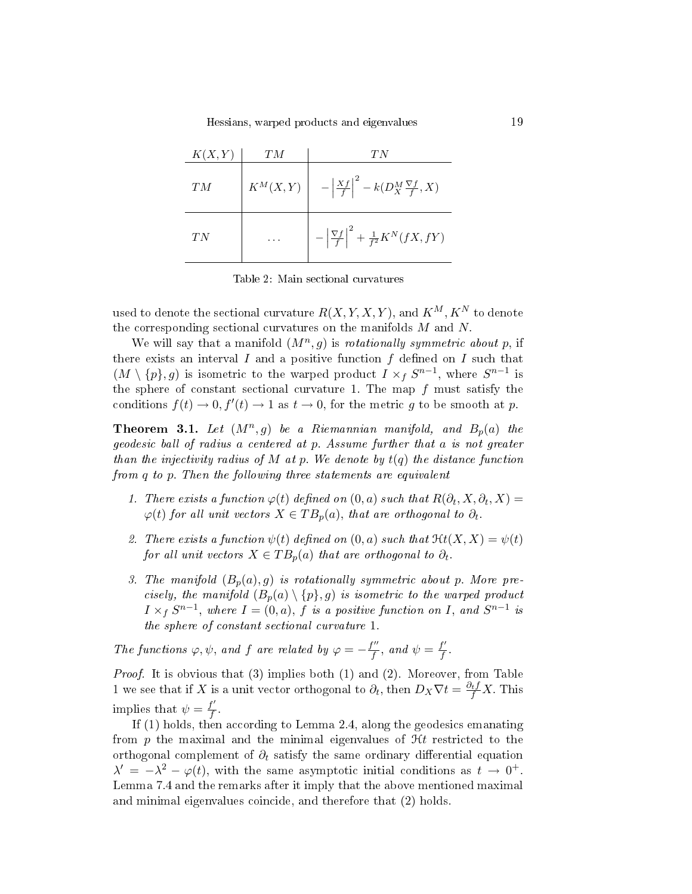Hessians, warped products and eigenvalues 19

| K(X,Y) | ŦМ | Ί'N                                                                           |
|--------|----|-------------------------------------------------------------------------------|
| TM     |    | $K^M(X,Y)$ $- \left  \frac{Xf}{f} \right ^2 - k(D_X^M \frac{\nabla f}{f}, X)$ |
| TN     |    | $-\left \frac{\nabla f}{f}\right ^2+\frac{1}{f^2}K^N(fX,fY)$                  |

Table 2: Main sectional curvatures

used to denote the sectional curvature  $R(X, Y, X, Y)$ , and  $K^M, K^N$  to denote the corresponding sectional curvatures on the manifolds M and N.

We will say that a manifold  $(M^n, g)$  is rotationally symmetric about p, if there exists an interval  $I$  and a positive function  $f$  defined on  $I$  such that  $(M \setminus \{p\}, g)$  is isometric to the warped product  $I \times_f S^{n-1}$ , where  $S^{n-1}$  is the sphere of constant sectional curvature 1. The map  $f$  must satisfy the conditions  $f(t) \to 0, f'(t) \to 1$  as  $t \to 0$ , for the metric g to be smooth at p.

**Theorem 3.1.** Let  $(M^n, g)$  be a Riemannian manifold, and  $B_p(a)$  the geodesic ball of radius a centered at p. Assume further that a is not greater than the injectivity radius of M at p. We denote by  $t(q)$  the distance function from q to p. Then the following three statements are equivalent

- 1. There exists a function  $\varphi(t)$  defined on  $(0, a)$  such that  $R(\partial_t, X, \partial_t, X) =$  $\varphi(t)$  for all unit vectors  $X \in TB_p(a)$ , that are orthogonal to  $\partial_t$ .
- 2. There exists a function  $\psi(t)$  defined on  $(0, a)$  such that  $\mathfrak{H}t(X, X) = \psi(t)$ for all unit vectors  $X \in TB_p(a)$  that are orthogonal to  $\partial_t$ .
- 3. The manifold  $(B_p(a), g)$  is rotationally symmetric about p. More precisely, the manifold  $(B_p(a) \setminus \{p\}, g)$  is isometric to the warped product  $I \times_f S^{n-1}$ , where  $I = (0, a)$ , f is a positive function on I, and  $S^{n-1}$  is the sphere of constant sectional curvature 1.

The functions  $\varphi, \psi$ , and f are related by  $\varphi = -\frac{f''}{f}$  $\frac{f^{\prime \prime}}{f}, \text{ and } \psi = \frac{f^{\prime}}{f}$  $\frac{f'}{f}$  .

*Proof.* It is obvious that  $(3)$  implies both  $(1)$  and  $(2)$ . Moreover, from Table 1 we see that if X is a unit vector orthogonal to  $\partial_t$ , then  $D_X \nabla t = \frac{\partial_t f}{f} X$ . This implies that  $\psi = \frac{f'}{f}$  $\frac{f'}{f}$  .

If (1) holds, then according to Lemma 2.4, along the geodesics emanating from  $p$  the maximal and the minimal eigenvalues of  $\mathcal{H}$  restricted to the orthogonal complement of  $\partial_t$  satisfy the same ordinary differential equation  $\lambda' = -\lambda^2 - \varphi(t)$ , with the same asymptotic initial conditions as  $t \to 0^+$ . Lemma 7.4 and the remarks after it imply that the above mentioned maximal and minimal eigenvalues coincide, and therefore that (2) holds.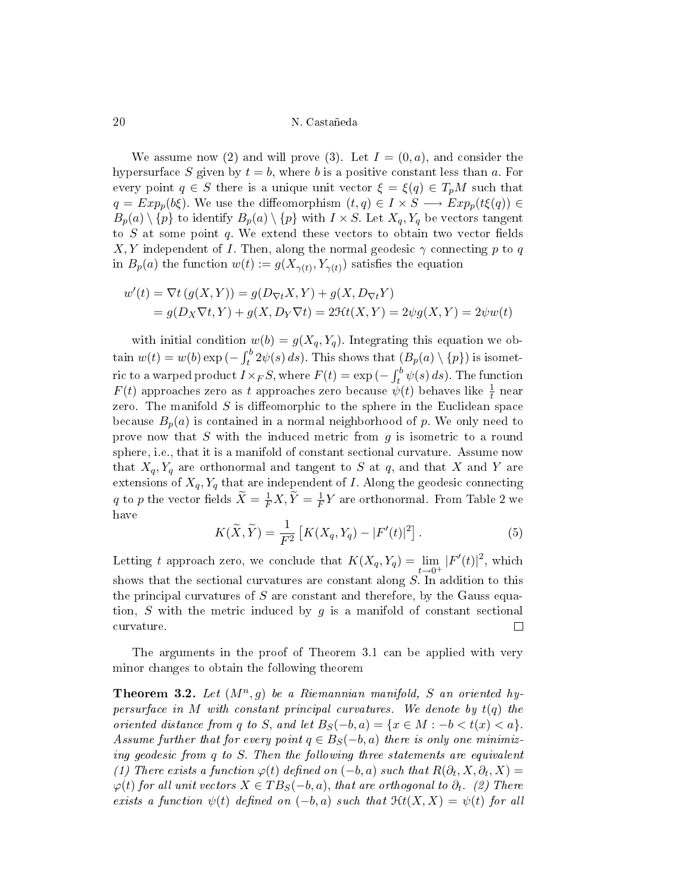We assume now (2) and will prove (3). Let  $I = (0, a)$ , and consider the hypersurface S given by  $t = b$ , where b is a positive constant less than a. For every point  $q \in S$  there is a unique unit vector  $\xi = \xi(q) \in T_pM$  such that  $q = Exp_p(b\xi)$ . We use the diffeomorphism  $(t, q) \in I \times S \longrightarrow Exp_p(t\xi(q)) \in$  $B_p(a) \setminus \{p\}$  to identify  $B_p(a) \setminus \{p\}$  with  $I \times S$ . Let  $X_q, Y_q$  be vectors tangent to  $S$  at some point  $q$ . We extend these vectors to obtain two vector fields  $X, Y$  independent of I. Then, along the normal geodesic  $\gamma$  connecting p to q in  $B_p(a)$  the function  $w(t) := g(X_{\gamma(t)}, Y_{\gamma(t)})$  satisfies the equation

$$
w'(t) = \nabla t (g(X, Y)) = g(D_{\nabla t} X, Y) + g(X, D_{\nabla t} Y)
$$
  
=  $g(D_X \nabla t, Y) + g(X, D_Y \nabla t) = 2\mathcal{H}t(X, Y) = 2\psi g(X, Y) = 2\psi w(t)$ 

with initial condition  $w(b) = g(X_q, Y_q)$ . Integrating this equation we obtain  $w(t) = w(b) \exp(-\int_t^b 2\psi(s) ds)$ . This shows that  $(B_p(a) \setminus \{p\})$  is isometric to a warped product  $I \times_F S$ , where  $F(t) = \exp(-\int_t^b \psi(s) \, ds)$ . The function  $F(t)$  approaches zero as  $t$  approaches zero because  $\psi(t)$  behaves like  $\frac{1}{t}$  near zero. The manifold  $S$  is diffeomorphic to the sphere in the Euclidean space because  $B_p(a)$  is contained in a normal neighborhood of p. We only need to prove now that  $S$  with the induced metric from  $g$  is isometric to a round sphere, i.e., that it is a manifold of constant sectional curvature. Assume now that  $X_q, Y_q$  are orthonormal and tangent to S at q, and that X and Y are extensions of  $X_q, Y_q$  that are independent of I. Along the geodesic connecting q to p the vector fields  $\widetilde{X} = \frac{1}{F}X, \widetilde{Y} = \frac{1}{F}$  $\frac{1}{F}Y$  are orthonormal. From Table 2 we have

$$
K(\widetilde{X}, \widetilde{Y}) = \frac{1}{F^2} \left[ K(X_q, Y_q) - |F'(t)|^2 \right].
$$
 (5)

Letting t approach zero, we conclude that  $K(X_q, Y_q) = \lim_{t \to 0^+} |F'(t)|^2$ , which shows that the sectional curvatures are constant along  $S$ . In addition to this the principal curvatures of  $S$  are constant and therefore, by the Gauss equation,  $S$  with the metric induced by  $q$  is a manifold of constant sectional curvature.  $\Box$ 

The arguments in the proof of Theorem 3.1 can be applied with very minor changes to obtain the following theorem

**Theorem 3.2.** Let  $(M^n, g)$  be a Riemannian manifold, S an oriented hypersurface in M with constant principal curvatures. We denote by  $t(q)$  the oriented distance from q to S, and let  $B_S(-b,a) = \{x \in M : -b < t(x) < a\}.$ Assume further that for every point  $q \in B_{S}(-b, a)$  there is only one minimizing geodesic from q to S. Then the following three statements are equivalent (1) There exists a function  $\varphi(t)$  defined on  $(-b,a)$  such that  $R(\partial_t, X, \partial_t, X) =$  $\varphi(t)$  for all unit vectors  $X\in TB_S(-b,a),$  that are orthogonal to  $\partial_t.$   $\;$  (2) There exists a function  $\psi(t)$  defined on  $(-b,a)$  such that  $\mathfrak{H}t(X,X) = \psi(t)$  for all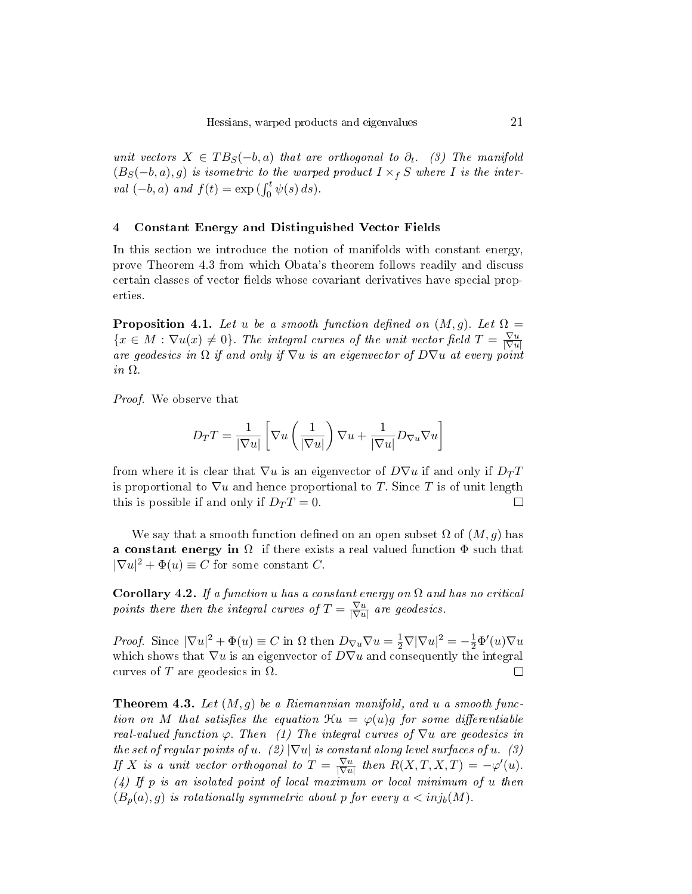$\emph{unit vectors $X$} \in TB_S(-b,a)$ that are orthogonal to $\partial_t$.} \label{eq:1} \tag{3} \emph{3}$  The manifold  $(B_S(-b,a), g)$  is isometric to the warped product  $I \times_f S$  where I is the interval  $(-b, a)$  and  $f(t) = \exp\left(\int_0^t \psi(s) ds\right)$ .

#### 4 Constant Energy and Distinguished Vector Fields

In this section we introduce the notion of manifolds with constant energy, prove Theorem 4.3 from which Obata's theorem follows readily and discuss certain classes of vector fields whose covariant derivatives have special properties.

**Proposition 4.1.** Let u be a smooth function defined on  $(M, g)$ . Let  $\Omega =$  ${x \in M : \nabla u(x) \neq 0}.$  The integral curves of the unit vector field  $T = \frac{\nabla u}{\nabla u}$  $|\nabla u|$ are geodesics in  $\Omega$  if and only if  $\nabla u$  is an eigenvector of  $D\nabla u$  at every point in  $\Omega$ .

Proof. We observe that

$$
D_T T = \frac{1}{|\nabla u|} \left[ \nabla u \left( \frac{1}{|\nabla u|} \right) \nabla u + \frac{1}{|\nabla u|} D_{\nabla u} \nabla u \right]
$$

from where it is clear that  $\nabla u$  is an eigenvector of  $D\nabla u$  if and only if  $D_T T$ is proportional to  $\nabla u$  and hence proportional to T. Since T is of unit length this is possible if and only if  $D_T T = 0$ .  $\Box$ 

We say that a smooth function defined on an open subset  $\Omega$  of  $(M, g)$  has a constant energy in  $\Omega$  if there exists a real valued function  $\Phi$  such that  $|\nabla u|^2 + \Phi(u) \equiv C$  for some constant C.

Corollary 4.2. If a function u has a constant energy on  $\Omega$  and has no critical points there then the integral curves of  $T = \frac{\nabla u}{\nabla u}$  $\frac{\nabla u}{|\nabla u|}$  are geodesics.

Proof. Since  $|\nabla u|^2 + \Phi(u) \equiv C$  in  $\Omega$  then  $D_{\nabla u} \nabla u = \frac{1}{2} \nabla |\nabla u|^2 = -\frac{1}{2} \Phi'(u) \nabla u$ which shows that  $\nabla u$  is an eigenvector of  $D\nabla u$  and consequently the integral curves of T are geodesics in  $\Omega$ .  $\Box$ 

**Theorem 4.3.** Let  $(M, g)$  be a Riemannian manifold, and u a smooth function on M that satisfies the equation  $\mathfrak{H}u = \varphi(u)g$  for some differentiable real-valued function  $\varphi$ . Then (1) The integral curves of  $\nabla u$  are geodesics in the set of regular points of u. (2)  $|\nabla u|$  is constant along level surfaces of u. (3) If X is a unit vector orthogonal to  $T = \frac{\nabla u}{\nabla u}$  $\frac{\nabla u}{|\nabla u|}$  then  $R(X,T,X,T) = -\varphi'(u)$ .  $(4)$  If p is an isolated point of local maximum or local minimum of u then  $(B_p(a), g)$  is rotationally symmetric about p for every  $a < inj_b(M)$ .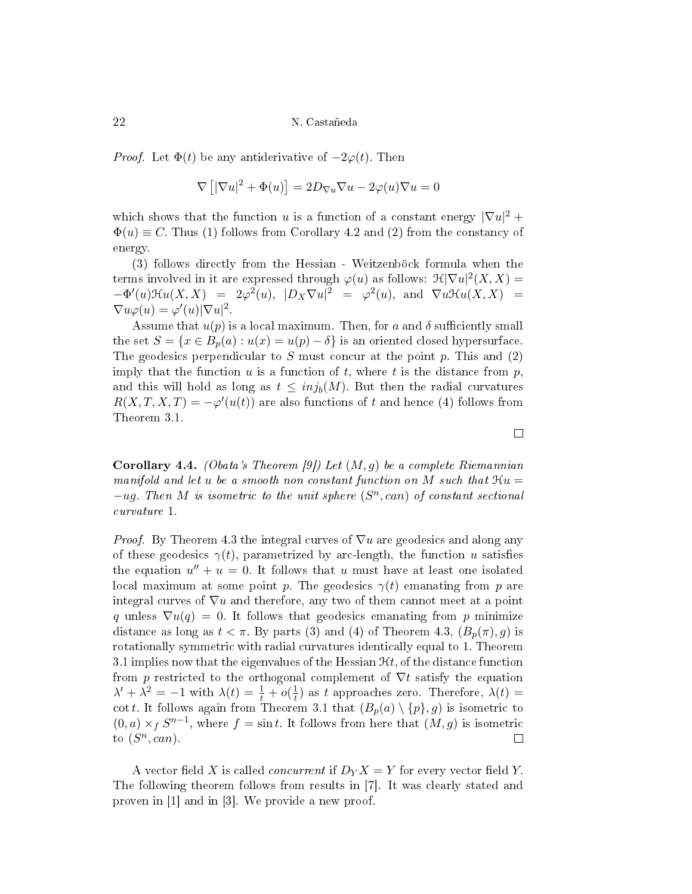*Proof.* Let  $\Phi(t)$  be any antiderivative of  $-2\varphi(t)$ . Then

$$
\nabla \left[|\nabla u|^2 + \Phi(u)\right] = 2D_{\nabla u} \nabla u - 2\varphi(u)\nabla u = 0
$$

which shows that the function u is a function of a constant energy  $|\nabla u|^2 +$  $\Phi(u) \equiv C$ . Thus (1) follows from Corollary 4.2 and (2) from the constancy of energy.

(3) follows directly from the Hessian - Weitzenböck formula when the terms involved in it are expressed through  $\varphi(u)$  as follows:  $\mathcal{H}|\nabla u|^2(X,X) =$  $-\Phi'(u)\mathfrak{H}u(X,X) = 2\varphi^2(u), |D_X\nabla u|^2 = \varphi^2(u), \text{ and } \nabla u\mathfrak{H}u(X,X) =$  $\nabla u\varphi(u) = \varphi'(u)|\nabla u|^2.$ 

Assume that  $u(p)$  is a local maximum. Then, for a and  $\delta$  sufficiently small the set  $S = \{x \in B_p(a) : u(x) = u(p) - \delta\}$  is an oriented closed hypersurface. The geodesics perpendicular to S must concur at the point p. This and  $(2)$ imply that the function  $u$  is a function of  $t$ , where  $t$  is the distance from  $p$ , and this will hold as long as  $t \leq inj<sub>b</sub>(M)$ . But then the radial curvatures  $R(X, T, X, T) = -\varphi'(u(t))$  are also functions of t and hence (4) follows from Theorem 3.1.

 $\Box$ 

**Corollary 4.4.** (Obata's Theorem [9]) Let  $(M, g)$  be a complete Riemannian manifold and let u be a smooth non constant function on M such that  $\mathfrak{H}u =$  $-ug.$  Then M is isometric to the unit sphere  $(S<sup>n</sup>, can)$  of constant sectional curvature 1.

*Proof.* By Theorem 4.3 the integral curves of  $\nabla u$  are geodesics and along any of these geodesics  $\gamma(t)$ , parametrized by arc-length, the function u satisfies the equation  $u'' + u = 0$ . It follows that u must have at least one isolated local maximum at some point p. The geodesics  $\gamma(t)$  emanating from p are integral curves of  $\nabla u$  and therefore, any two of them cannot meet at a point q unless  $\nabla u(q) = 0$ . It follows that geodesics emanating from p minimize distance as long as  $t < \pi$ . By parts (3) and (4) of Theorem 4.3,  $(B_p(\pi), g)$  is rotationally symmetric with radial curvatures identically equal to 1. Theorem 3.1 implies now that the eigenvalues of the Hessian  $\mathcal{H}t$ , of the distance function from p restricted to the orthogonal complement of  $\nabla t$  satisfy the equation  $\lambda' + \lambda^2 = -1$  with  $\lambda(t) = \frac{1}{t} + o(\frac{1}{t})$  $\frac{1}{t}$ ) as t approaches zero. Therefore,  $\lambda(t) =$ cott. It follows again from Theorem 3.1 that  $(B_p(a) \setminus \{p\}, g)$  is isometric to  $(0, a) \times_f S^{n-1}$ , where  $f = \sin t$ . It follows from here that  $(M, g)$  is isometric to  $(S^n, can)$ .  $\Box$ 

A vector field X is called *concurrent* if  $D_Y X = Y$  for every vector field Y. The following theorem follows from results in [7]. It was clearly stated and proven in [1] and in [3]. We provide a new proof.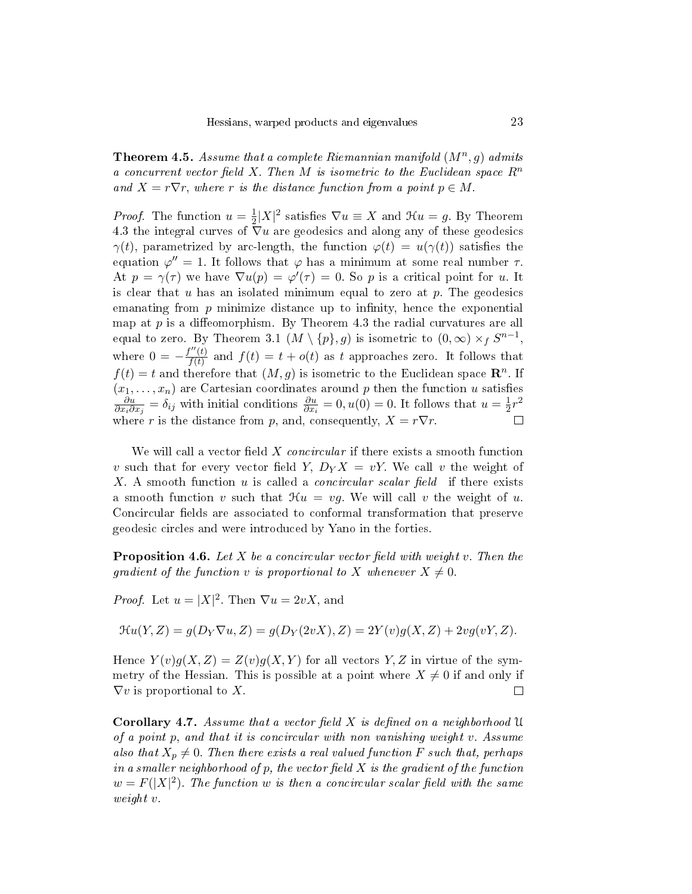**Theorem 4.5.** Assume that a complete Riemannian manifold  $(M^n, g)$  admits a concurrent vector field X. Then M is isometric to the Euclidean space  $R^n$ and  $X = r\nabla r$ , where r is the distance function from a point  $p \in M$ .

*Proof.* The function  $u = \frac{1}{2}$  $\frac{1}{2}|X|^2$  satisfies  $\nabla u \equiv X$  and  $\mathcal{H} u = g$ . By Theorem 4.3 the integral curves of  $\nabla u$  are geodesics and along any of these geodesics  $\gamma(t)$ , parametrized by arc-length, the function  $\varphi(t) = u(\gamma(t))$  satisfies the equation  $\varphi'' = 1$ . It follows that  $\varphi$  has a minimum at some real number  $\tau$ . At  $p = \gamma(\tau)$  we have  $\nabla u(p) = \varphi'(\tau) = 0$ . So p is a critical point for u. It is clear that  $u$  has an isolated minimum equal to zero at  $p$ . The geodesics emanating from  $p$  minimize distance up to infinity, hence the exponential map at  $p$  is a diffeomorphism. By Theorem 4.3 the radial curvatures are all equal to zero. By Theorem 3.1  $(M \setminus \{p\}, g)$  is isometric to  $(0, \infty) \times_f S^{n-1},$ where  $0 = -\frac{f''(t)}{f(t)}$  $f(t)$  and  $f(t) = t + o(t)$  as t approaches zero. It follows that  $f(t) = t$  and therefore that  $(M, g)$  is isometric to the Euclidean space  $\mathbb{R}^n$ . If  $(x_1, \ldots, x_n)$  are Cartesian coordinates around p then the function u satisfies ∂u  $\frac{\partial u}{\partial x_i \partial x_j} = \delta_{ij}$  with initial conditions  $\frac{\partial u}{\partial x_i} = 0, u(0) = 0$ . It follows that  $u = \frac{1}{2}$  $\frac{1}{2}r^2$ where r is the distance from p, and, consequently,  $X = r\nabla r$ .

We will call a vector field  $X$  concircular if there exists a smooth function v such that for every vector field Y,  $D_Y X = vY$ . We call v the weight of X. A smooth function  $u$  is called a *concircular scalar field* if there exists a smooth function v such that  $\mathcal{H}u = vq$ . We will call v the weight of u. Concircular fields are associated to conformal transformation that preserve geodesic circles and were introduced by Yano in the forties.

**Proposition 4.6.** Let X be a concircular vector field with weight v. Then the gradient of the function v is proportional to X whenever  $X \neq 0$ .

*Proof.* Let  $u = |X|^2$ . Then  $\nabla u = 2vX$ , and

$$
\mathcal{H}u(Y,Z) = g(D_Y \nabla u, Z) = g(D_Y(2vX), Z) = 2Y(v)g(X, Z) + 2vg(vY, Z).
$$

Hence  $Y(v)g(X, Z) = Z(v)g(X, Y)$  for all vectors Y, Z in virtue of the symmetry of the Hessian. This is possible at a point where  $X \neq 0$  if and only if  $\nabla v$  is proportional to X.  $\Box$ 

**Corollary 4.7.** Assume that a vector field X is defined on a neighborhood  $\mathfrak U$ of a point p, and that it is concircular with non vanishing weight v. Assume also that  $X_p \neq 0$ . Then there exists a real valued function F such that, perhaps in a smaller neighborhood of p, the vector field  $X$  is the gradient of the function  $w = F(|X|^2)$ . The function w is then a concircular scalar field with the same weight v.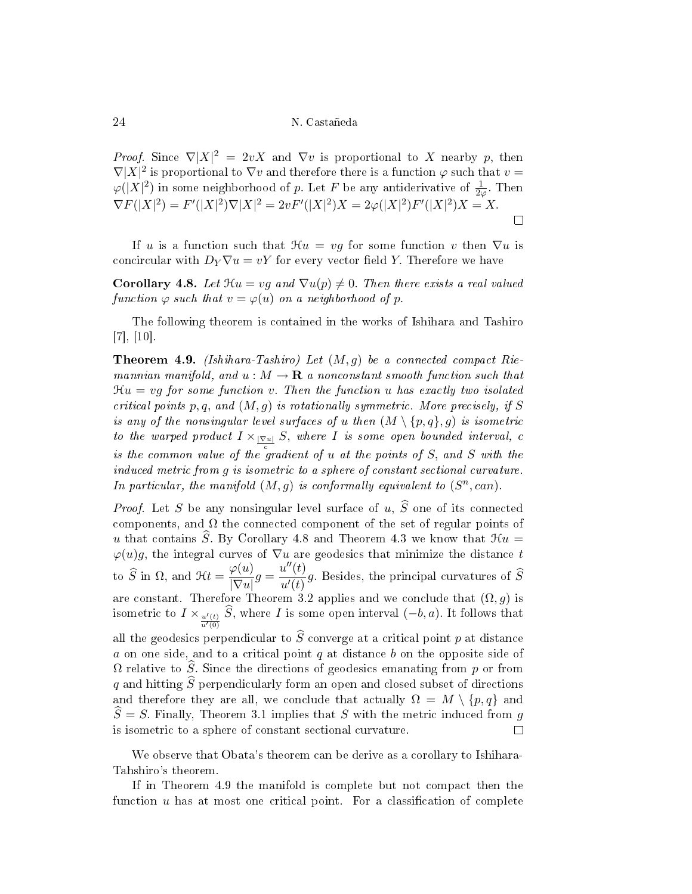*Proof.* Since  $\nabla |X|^2 = 2vX$  and  $\nabla v$  is proportional to X nearby p, then  $\nabla |X|^2$  is proportional to  $\nabla v$  and therefore there is a function  $\varphi$  such that  $v =$  $\varphi(|X|^2)$  in some neighborhood of p. Let F be any antiderivative of  $\frac{1}{2\varphi}$ . Then  $\nabla F(|X|^2) = F'(|X|^2)\nabla |X|^2 = 2vF'(|X|^2)X = 2\varphi(|X|^2)F'(|X|^2)X = X.$  $\Box$ 

If u is a function such that  $\mathcal{H}u = vq$  for some function v then  $\nabla u$  is concircular with  $D_Y \nabla u = vY$  for every vector field Y. Therefore we have

Corollary 4.8. Let  $\mathcal{H}u = vq$  and  $\nabla u(p) \neq 0$ . Then there exists a real valued function  $\varphi$  such that  $v = \varphi(u)$  on a neighborhood of p.

The following theorem is contained in the works of Ishihara and Tashiro  $[7], [10]$ 

**Theorem 4.9.** (Ishihara-Tashiro) Let  $(M, g)$  be a connected compact Riemannian manifold, and  $u : M \to \mathbf{R}$  a nonconstant smooth function such that  $\mathfrak{H}u = v\mathfrak{g}$  for some function v. Then the function u has exactly two isolated critical points p, q, and  $(M, g)$  is rotationally symmetric. More precisely, if S is any of the nonsingular level surfaces of u then  $(M \setminus \{p,q\}, g)$  is isometric to the warped product  $I \times_{|\nabla u|} S$ , where I is some open bounded interval, c is the common value of the gradient of  $u$  at the points of  $S$ , and  $S$  with the induced metric from g is isometric to a sphere of constant sectional curvature. In particular, the manifold  $(M, g)$  is conformally equivalent to  $(S<sup>n</sup>, can)$ .

*Proof.* Let S be any nonsingular level surface of u,  $\widehat{S}$  one of its connected components, and  $\Omega$  the connected component of the set of regular points of u that contains S. By Corollary 4.8 and Theorem 4.3 we know that  $\mathcal{H}u =$  $\varphi(u)g$ , the integral curves of  $\nabla u$  are geodesics that minimize the distance t to  $\widehat{S}$  in  $\Omega$ , and  $\mathcal{H}t = \frac{\varphi(u)}{|\nabla u|}$  $\frac{\varphi(u)}{|\nabla u|}g = \frac{u''(t)}{u'(t)}$  $\frac{d^2\left(v\right)}{u'(t)}g$ . Besides, the principal curvatures of S are constant. Therefore Theorem 3.2 applies and we conclude that  $(\Omega, g)$  is isometric to  $I \times_{\frac{u'(t)}{u'(0)}} S$ , where I is some open interval  $(-b, a)$ . It follows that all the geodesics perpendicular to  $\widehat{S}$  converge at a critical point p at distance  $a$  on one side, and to a critical point  $q$  at distance  $b$  on the opposite side of  $\Omega$  relative to  $\hat{S}$ . Since the directions of geodesics emanating from p or from q and hitting  $\widehat{S}$  perpendicularly form an open and closed subset of directions and therefore they are all, we conclude that actually  $\Omega = M \setminus \{p, q\}$  and  $\widehat{S} = S$ . Finally, Theorem 3.1 implies that S with the metric induced from g is isometric to a sphere of constant sectional curvature. is isometric to a sphere of constant sectional curvature.

We observe that Obata's theorem can be derive as a corollary to Ishihara-Tahshiro's theorem.

If in Theorem 4.9 the manifold is complete but not compact then the function  $u$  has at most one critical point. For a classification of complete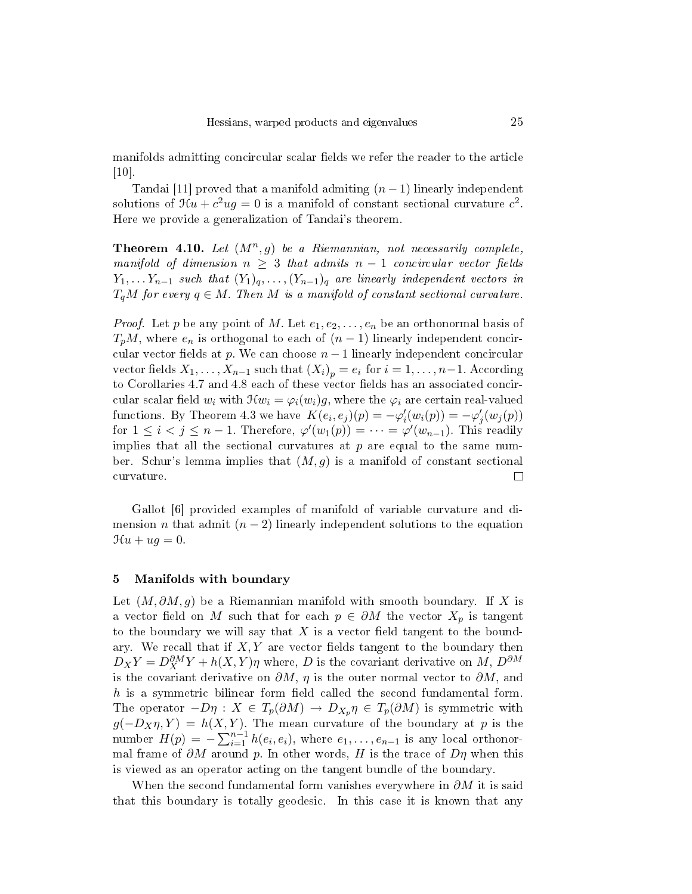manifolds admitting concircular scalar fields we refer the reader to the article [10].

Tandai [11] proved that a manifold admiting  $(n-1)$  linearly independent solutions of  $\mathcal{H}u + c^2ug = 0$  is a manifold of constant sectional curvature  $c^2$ . Here we provide a generalization of Tandai's theorem.

**Theorem 4.10.** Let  $(M^n, g)$  be a Riemannian, not necessarily complete, manifold of dimension  $n \geq 3$  that admits  $n-1$  concircular vector fields  $Y_1, \ldots, Y_{n-1}$  such that  $(Y_1)_q, \ldots, (Y_{n-1})_q$  are linearly independent vectors in  $T<sub>a</sub>M$  for every  $q \in M$ . Then M is a manifold of constant sectional curvature.

*Proof.* Let p be any point of M. Let  $e_1, e_2, \ldots, e_n$  be an orthonormal basis of  $T_pM$ , where  $e_n$  is orthogonal to each of  $(n-1)$  linearly independent concircular vector fields at p. We can choose  $n-1$  linearly independent concircular vector fields  $X_1, \ldots, X_{n-1}$  such that  $(X_i)_p = e_i$  for  $i = 1, \ldots, n-1$ . According to Corollaries  $4.7$  and  $4.8$  each of these vector fields has an associated concircular scalar field  $w_i$  with  $\mathcal{H}w_i = \varphi_i(w_i)g$ , where the  $\varphi_i$  are certain real-valued functions. By Theorem 4.3 we have  $K(e_i, e_j)(p) = -\varphi'_i(w_i(p)) = -\varphi'_j(w_j(p))$ for  $1 \leq i < j \leq n-1$ . Therefore,  $\varphi'(w_1(p)) = \cdots = \varphi'(w_{n-1})$ . This readily implies that all the sectional curvatures at  $p$  are equal to the same number. Schur's lemma implies that  $(M, q)$  is a manifold of constant sectional curvature.  $\Box$ 

Gallot [6] provided examples of manifold of variable curvature and dimension n that admit  $(n-2)$  linearly independent solutions to the equation  $\mathcal{H}u + ug = 0.$ 

# 5 Manifolds with boundary

Let  $(M, \partial M, g)$  be a Riemannian manifold with smooth boundary. If X is a vector field on M such that for each  $p \in \partial M$  the vector  $X_p$  is tangent to the boundary we will say that  $X$  is a vector field tangent to the boundary. We recall that if  $X, Y$  are vector fields tangent to the boundary then  $D_X Y = D_X^{\partial M} Y + h(X, Y) \eta$  where, D is the covariant derivative on M,  $D^{\partial M}$ is the covariant derivative on  $\partial M$ ,  $\eta$  is the outer normal vector to  $\partial M$ , and  $h$  is a symmetric bilinear form field called the second fundamental form. The operator  $-D\eta : X \in T_p(\partial M) \to D_{X_p}\eta \in T_p(\partial M)$  is symmetric with  $g(-D_X\eta, Y) = h(X, Y)$ . The mean curvature of the boundary at p is the number  $H(p) = -\sum_{i=1}^{n-1} h(e_i, e_i)$ , where  $e_1, \ldots, e_{n-1}$  is any local orthonormal frame of  $\partial M$  around p. In other words, H is the trace of  $D\eta$  when this is viewed as an operator acting on the tangent bundle of the boundary.

When the second fundamental form vanishes everywhere in  $\partial M$  it is said that this boundary is totally geodesic. In this case it is known that any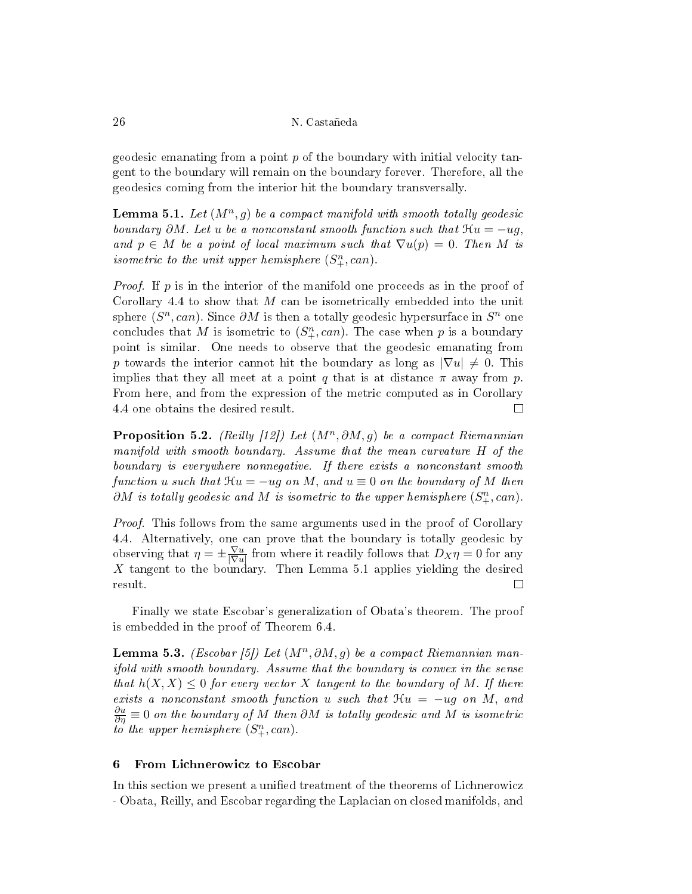geodesic emanating from a point  $p$  of the boundary with initial velocity tangent to the boundary will remain on the boundary forever. Therefore, all the geodesics coming from the interior hit the boundary transversally.

**Lemma 5.1.** Let  $(M^n, g)$  be a compact manifold with smooth totally geodesic boundary ∂M. Let u be a nonconstant smooth function such that  $\mathfrak{H}u = -uq$ , and  $p \in M$  be a point of local maximum such that  $\nabla u(p) = 0$ . Then M is isometric to the unit upper hemisphere  $(S^n_+, can)$ .

*Proof.* If  $p$  is in the interior of the manifold one proceeds as in the proof of Corollary 4.4 to show that  $M$  can be isometrically embedded into the unit sphere  $(S^n, can)$ . Since  $\partial M$  is then a totally geodesic hypersurface in  $S^n$  one concludes that M is isometric to  $(S^n_+, can)$ . The case when p is a boundary point is similar. One needs to observe that the geodesic emanating from p towards the interior cannot hit the boundary as long as  $|\nabla u| \neq 0$ . This implies that they all meet at a point q that is at distance  $\pi$  away from p. From here, and from the expression of the metric computed as in Corollary 4.4 one obtains the desired result.  $\Box$ 

**Proposition 5.2.** (Reilly [12]) Let  $(M^n, \partial M, g)$  be a compact Riemannian manifold with smooth boundary. Assume that the mean curvature H of the boundary is everywhere nonnegative. If there exists a nonconstant smooth function u such that  $\mathfrak{H}u = -ug$  on M, and  $u \equiv 0$  on the boundary of M then  $\partial M$  is totally geodesic and M is isometric to the upper hemisphere  $(S^n_+, can)$ .

*Proof.* This follows from the same arguments used in the proof of Corollary 4.4. Alternatively, one can prove that the boundary is totally geodesic by observing that  $\eta = \pm \frac{\nabla u}{\nabla u}$  $\frac{\nabla u}{|\nabla u|}$  from where it readily follows that  $D_X\eta = 0$  for any  $X$  tangent to the boundary. Then Lemma 5.1 applies yielding the desired result.  $\Box$ 

Finally we state Escobar's generalization of Obata's theorem. The proof is embedded in the proof of Theorem 6.4.

Lemma 5.3. (Escobar [5]) Let  $(M^n, \partial M, g)$  be a compact Riemannian manifold with smooth boundary. Assume that the boundary is convex in the sense that  $h(X, X) \leq 0$  for every vector X tangent to the boundary of M. If there exists a nonconstant smooth function u such that  $\mathcal{H}u = -uq$  on M, and  $\frac{\partial u}{\partial \eta}\equiv 0$  on the boundary of  $M$  then  $\partial M$  is totally geodesic and  $M$  is isometric to the upper hemisphere  $(S^n_+, can)$ .

### 6 From Lichnerowicz to Escobar

In this section we present a unified treatment of the theorems of Lichnerowicz - Obata, Reilly, and Escobar regarding the Laplacian on closed manifolds, and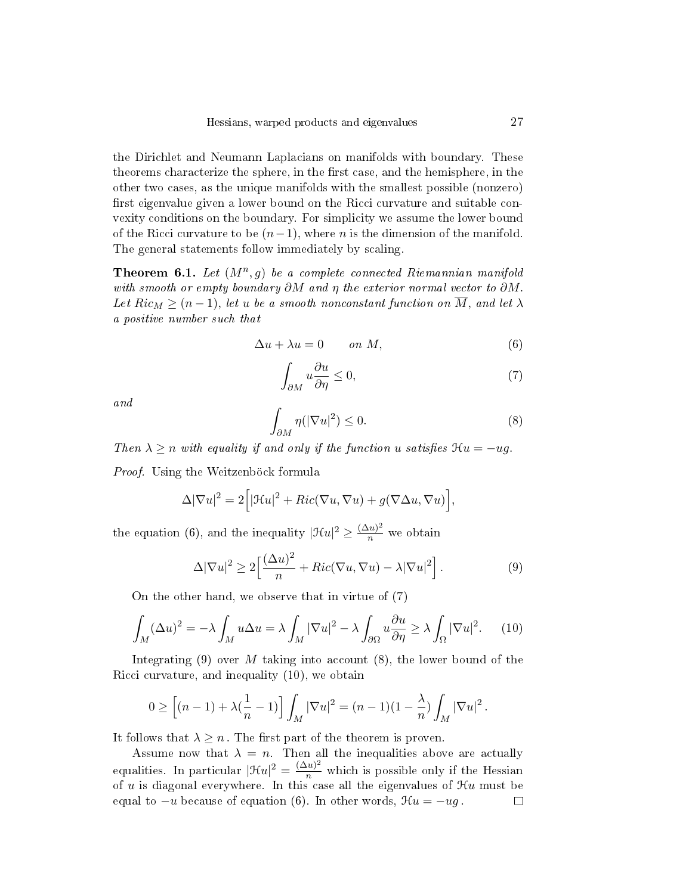the Dirichlet and Neumann Laplacians on manifolds with boundary. These theorems characterize the sphere, in the first case, and the hemisphere, in the other two cases, as the unique manifolds with the smallest possible (nonzero) first eigenvalue given a lower bound on the Ricci curvature and suitable convexity conditions on the boundary. For simplicity we assume the lower bound of the Ricci curvature to be  $(n-1)$ , where *n* is the dimension of the manifold. The general statements follow immediately by scaling.

**Theorem 6.1.** Let  $(M^n, g)$  be a complete connected Riemannian manifold with smooth or empty boundary  $\partial M$  and  $\eta$  the exterior normal vector to  $\partial M$ . Let  $Ric_M \geq (n-1)$ , let u be a smooth nonconstant function on  $\overline{M}$ , and let  $\lambda$ a positive number such that

$$
\Delta u + \lambda u = 0 \qquad on \ M,\tag{6}
$$

$$
\int_{\partial M} u \frac{\partial u}{\partial \eta} \le 0,\tag{7}
$$

and

$$
\int_{\partial M} \eta(|\nabla u|^2) \le 0. \tag{8}
$$

Then  $\lambda \geq n$  with equality if and only if the function u satisfies  $\mathfrak{H}u = -ug$ .

Proof. Using the Weitzenböck formula

$$
\Delta |\nabla u|^2 = 2 \Big[ |\mathcal{H}u|^2 + Ric(\nabla u, \nabla u) + g(\nabla \Delta u, \nabla u) \Big],
$$

the equation (6), and the inequality  $|\mathcal{H}u|^2 \geq \frac{(\Delta u)^2}{n}$  we obtain

$$
\Delta |\nabla u|^2 \ge 2 \left[ \frac{(\Delta u)^2}{n} + Ric(\nabla u, \nabla u) - \lambda |\nabla u|^2 \right]. \tag{9}
$$

On the other hand, we observe that in virtue of (7)

$$
\int_M (\Delta u)^2 = -\lambda \int_M u \Delta u = \lambda \int_M |\nabla u|^2 - \lambda \int_{\partial \Omega} u \frac{\partial u}{\partial \eta} \ge \lambda \int_{\Omega} |\nabla u|^2. \tag{10}
$$

Integrating (9) over M taking into account (8), the lower bound of the Ricci curvature, and inequality (10), we obtain

$$
0 \geq \left[ (n-1) + \lambda \left( \frac{1}{n} - 1 \right) \right] \int_M |\nabla u|^2 = (n-1)(1 - \frac{\lambda}{n}) \int_M |\nabla u|^2.
$$

It follows that  $\lambda \geq n$ . The first part of the theorem is proven.

Assume now that  $\lambda = n$ . Then all the inequalities above are actually equalities. In particular  $|\mathcal{H}u|^2 = \frac{(\Delta u)^2}{n}$  which is possible only if the Hessian of u is diagonal everywhere. In this case all the eigenvalues of  $\mathcal{H}u$  must be equal to  $-u$  because of equation (6). In other words,  $\mathcal{H}u = -ug$ .  $\Box$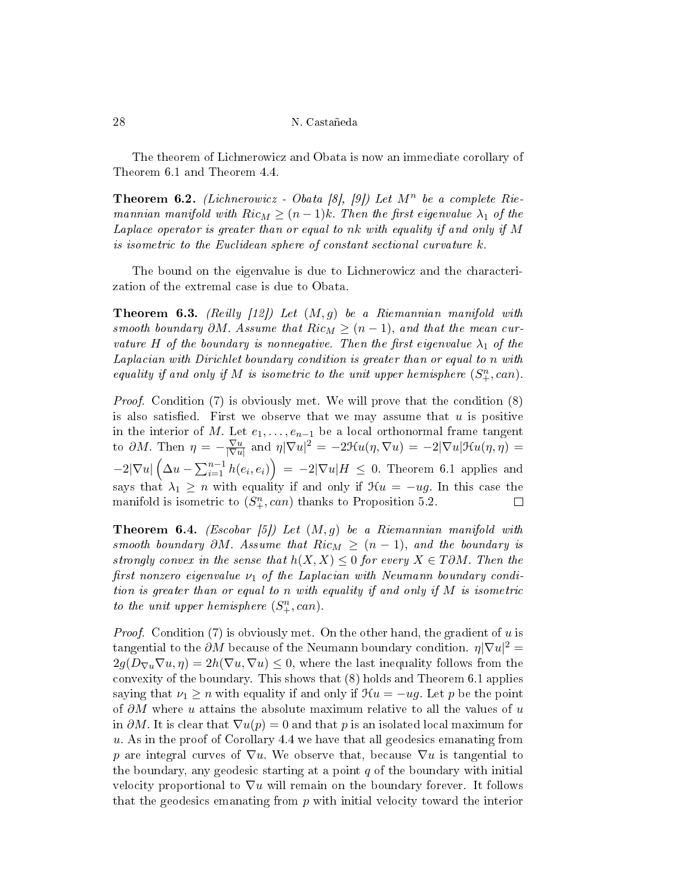The theorem of Lichnerowicz and Obata is now an immediate corollary of Theorem 6.1 and Theorem 4.4.

**Theorem 6.2.** (Lichnerowicz - Obata [8], [9]) Let  $M^n$  be a complete Riemannian manifold with  $Ric_M \geq (n-1)k$ . Then the first eigenvalue  $\lambda_1$  of the Laplace operator is greater than or equal to nk with equality if and only if M is isometric to the Euclidean sphere of constant sectional curvature k.

The bound on the eigenvalue is due to Lichnerowicz and the characterization of the extremal case is due to Obata.

**Theorem 6.3.** (Reilly [12]) Let  $(M, g)$  be a Riemannian manifold with smooth boundary  $\partial M$ . Assume that  $Ric_M \geq (n-1)$ , and that the mean curvature H of the boundary is nonnegative. Then the first eigenvalue  $\lambda_1$  of the Laplacian with Dirichlet boundary condition is greater than or equal to n with equality if and only if M is isometric to the unit upper hemisphere  $(S^n_+, can)$ .

Proof. Condition (7) is obviously met. We will prove that the condition (8) is also satisfied. First we observe that we may assume that  $u$  is positive in the interior of M. Let  $e_1, \ldots, e_{n-1}$  be a local orthonormal frame tangent to  $\partial M$ . Then  $\eta = -\frac{\nabla u}{\nabla u}$  $\frac{\nabla u}{|\nabla u|}$  and  $\eta |\nabla u|^2 = -2\mathcal{H}u(\eta, \nabla u) = -2|\nabla u|\mathcal{H}u(\eta, \eta) =$  $-2|\nabla u|\left(\Delta u - \sum_{i=1}^{n-1} h(e_i, e_i)\right) = -2|\nabla u|H \leq 0.$  Theorem 6.1 applies and says that  $\lambda_1 \geq n$  with equality if and only if  $\mathcal{H}u = -ug$ . In this case the manifold is isometric to  $(S^n_+, can)$  thanks to Proposition 5.2.  $\Box$ 

**Theorem 6.4.** (Escobar [5]) Let  $(M, g)$  be a Riemannian manifold with smooth boundary  $\partial M$ . Assume that  $Ric_M \geq (n-1)$ , and the boundary is strongly convex in the sense that  $h(X, X) \leq 0$  for every  $X \in T \partial M$ . Then the first nonzero eigenvalue  $\nu_1$  of the Laplacian with Neumann boundary condition is greater than or equal to n with equality if and only if M is isometric to the unit upper hemisphere  $(S^n_+, can)$ .

*Proof.* Condition (7) is obviously met. On the other hand, the gradient of u is tangential to the  $\partial M$  because of the Neumann boundary condition.  $\eta |\nabla u|^2 =$  $2g(D_{\nabla u}\nabla u,\eta) = 2h(\nabla u,\nabla u) \leq 0$ , where the last inequality follows from the convexity of the boundary. This shows that (8) holds and Theorem 6.1 applies saying that  $\nu_1 \geq n$  with equality if and only if  $\mathcal{H}u = -ug$ . Let p be the point of  $\partial M$  where u attains the absolute maximum relative to all the values of u in  $\partial M$ . It is clear that  $\nabla u(p) = 0$  and that p is an isolated local maximum for  $u$ . As in the proof of Corollary 4.4 we have that all geodesics emanating from p are integral curves of  $\nabla u$ . We observe that, because  $\nabla u$  is tangential to the boundary, any geodesic starting at a point  $q$  of the boundary with initial velocity proportional to  $\nabla u$  will remain on the boundary forever. It follows that the geodesics emanating from  $p$  with initial velocity toward the interior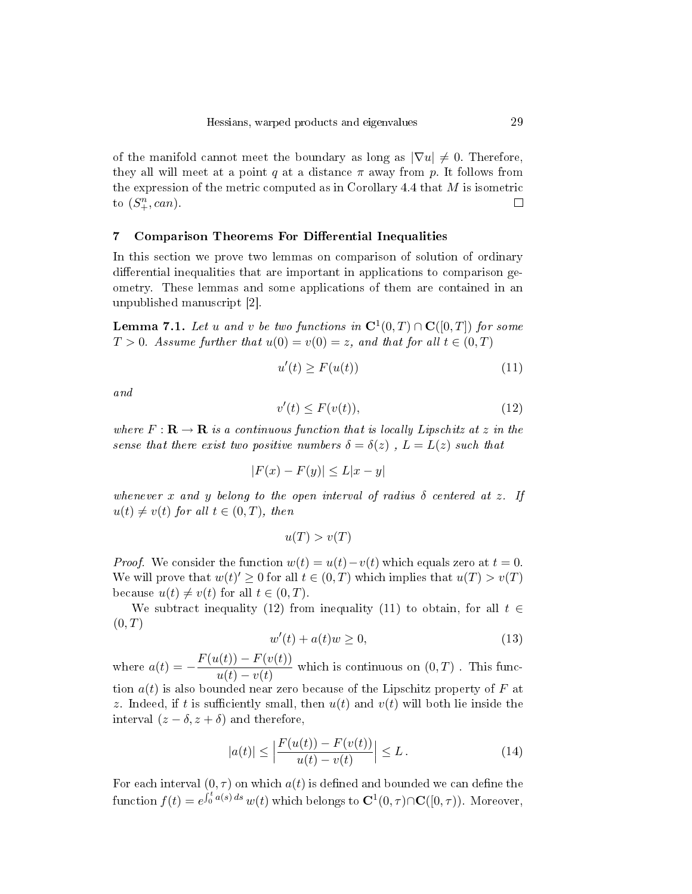of the manifold cannot meet the boundary as long as  $|\nabla u| \neq 0$ . Therefore, they all will meet at a point q at a distance  $\pi$  away from p. It follows from the expression of the metric computed as in Corollary 4.4 that  $M$  is isometric to  $(S^n_+, can)$ .  $\Box$ 

# 7 Comparison Theorems For Differential Inequalities

In this section we prove two lemmas on comparison of solution of ordinary differential inequalities that are important in applications to comparison geometry. These lemmas and some applications of them are contained in an unpublished manuscript [2].

**Lemma 7.1.** Let  $u$  and  $v$  be two functions in  $\mathbf{C}^1(0,T) \cap \mathbf{C}([0,T])$  for some  $T > 0$ . Assume further that  $u(0) = v(0) = z$ , and that for all  $t \in (0, T)$ 

$$
u'(t) \ge F(u(t))\tag{11}
$$

and

$$
v'(t) \le F(v(t)),\tag{12}
$$

where  $F: \mathbf{R} \to \mathbf{R}$  is a continuous function that is locally Lipschitz at z in the sense that there exist two positive numbers  $\delta = \delta(z)$ ,  $L = L(z)$  such that

$$
|F(x) - F(y)| \le L|x - y|
$$

whenever x and y belong to the open interval of radius  $\delta$  centered at z. If  $u(t) \neq v(t)$  for all  $t \in (0, T)$ , then

$$
u(T) > v(T)
$$

*Proof.* We consider the function  $w(t) = u(t) - v(t)$  which equals zero at  $t = 0$ . We will prove that  $w(t) \geq 0$  for all  $t \in (0, T)$  which implies that  $u(T) > v(T)$ because  $u(t) \neq v(t)$  for all  $t \in (0, T)$ .

We subtract inequality (12) from inequality (11) to obtain, for all  $t \in$  $(0, T)$ 

$$
w'(t) + a(t)w \ge 0,\t\t(13)
$$

where  $a(t) = -\frac{F(u(t)) - F(v(t))}{\Delta}$  $\frac{u(v)}{u(t)-v(t)}$  which is continuous on  $(0,T)$ . This function  $a(t)$  is also bounded near zero because of the Lipschitz property of F at z. Indeed, if t is sufficiently small, then  $u(t)$  and  $v(t)$  will both lie inside the interval  $(z - \delta, z + \delta)$  and therefore,

$$
|a(t)| \le \left| \frac{F(u(t)) - F(v(t))}{u(t) - v(t)} \right| \le L. \tag{14}
$$

For each interval  $(0, \tau)$  on which  $a(t)$  is defined and bounded we can define the function  $f(t) = e^{\int_0^t a(s) ds} w(t)$  which belongs to  $\mathbf{C}^1(0,\tau) \cap \mathbf{C}([0,\tau))$ . Moreover,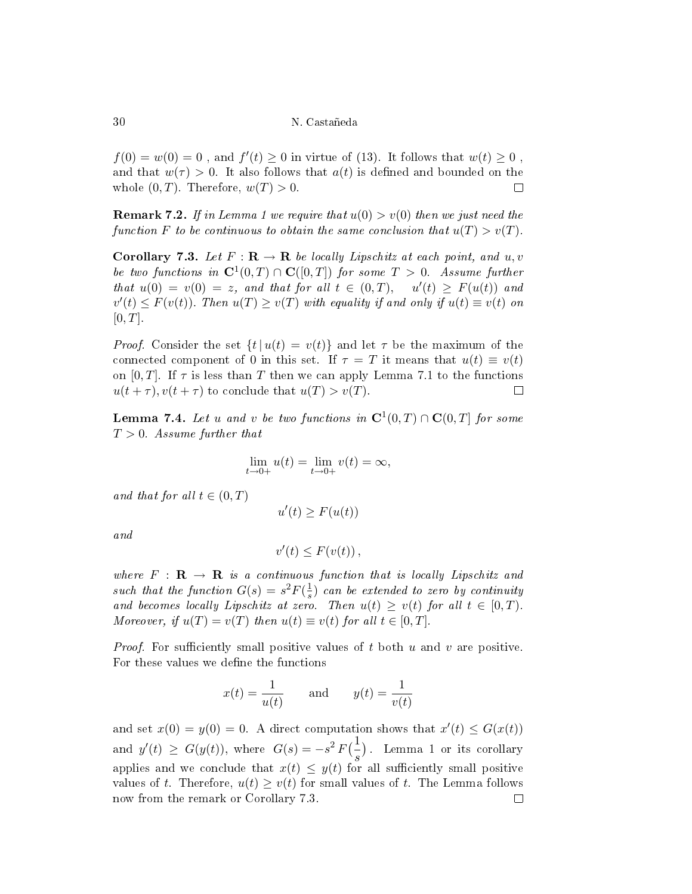$f(0) = w(0) = 0$ , and  $f'(t) \ge 0$  in virtue of (13). It follows that  $w(t) \ge 0$ , and that  $w(\tau) > 0$ . It also follows that  $a(t)$  is defined and bounded on the whole  $(0, T)$ . Therefore,  $w(T) > 0$ .  $\Box$ 

**Remark 7.2.** If in Lemma 1 we require that  $u(0) > v(0)$  then we just need the function F to be continuous to obtain the same conclusion that  $u(T) > v(T)$ .

Corollary 7.3. Let  $F: \mathbf{R} \to \mathbf{R}$  be locally Lipschitz at each point, and u, v be two functions in  $\mathbf{C}^1(0,T) \cap \mathbf{C}([0,T])$  for some  $T > 0$ . Assume further that  $u(0) = v(0) = z$ , and that for all  $t \in (0,T)$ ,  $u'(t) \geq F(u(t))$  and  $v'(t) \leq F(v(t))$ . Then  $u(T) \geq v(T)$  with equality if and only if  $u(t) \equiv v(t)$  on  $[0, T]$ .

*Proof.* Consider the set  $\{t | u(t) = v(t)\}$  and let  $\tau$  be the maximum of the connected component of 0 in this set. If  $\tau = T$  it means that  $u(t) \equiv v(t)$ on  $[0, T]$ . If  $\tau$  is less than T then we can apply Lemma 7.1 to the functions  $u(t+\tau), v(t+\tau)$  to conclude that  $u(T) > v(T)$ .  $\Box$ 

**Lemma 7.4.** Let u and v be two functions in  $\mathbf{C}^1(0,T) \cap \mathbf{C}(0,T]$  for some  $T > 0$ . Assume further that

$$
\lim_{t \to 0+} u(t) = \lim_{t \to 0+} v(t) = \infty,
$$

and that for all  $t \in (0, T)$ 

$$
u'(t) \geq F(u(t))
$$

and

$$
v'(t) \leq F(v(t)),
$$

where  $F : \mathbf{R} \to \mathbf{R}$  is a continuous function that is locally Lipschitz and such that the function  $G(s) = s^2 F(\frac{1}{s})$  $\frac{1}{s}$ ) can be extended to zero by continuity and becomes locally Lipschitz at zero. Then  $u(t) \ge v(t)$  for all  $t \in [0, T)$ . Moreover, if  $u(T) = v(T)$  then  $u(t) \equiv v(t)$  for all  $t \in [0, T]$ .

*Proof.* For sufficiently small positive values of t both u and v are positive. For these values we define the functions

$$
x(t) = \frac{1}{u(t)} \quad \text{and} \quad y(t) = \frac{1}{v(t)}
$$

and set  $x(0) = y(0) = 0$ . A direct computation shows that  $x'(t) \le G(x(t))$ and  $y'(t) \ge G(y(t))$ , where  $G(s) = -s^2 F(\frac{1}{s})$  . Lemma 1 or its corollary s applies and we conclude that  $x(t) \leq y(t)$  for all sufficiently small positive values of t. Therefore,  $u(t) > v(t)$  for small values of t. The Lemma follows now from the remark or Corollary 7.3. $\Box$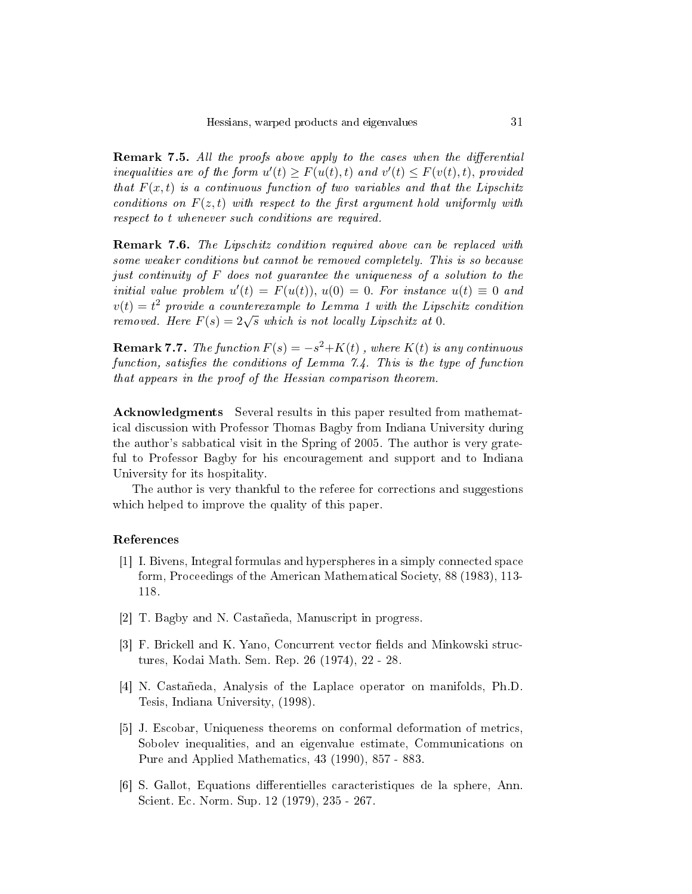**Remark 7.5.** All the proofs above apply to the cases when the differential inequalities are of the form  $u'(t) \geq F(u(t), t)$  and  $v'(t) \leq F(v(t), t)$ , provided that  $F(x, t)$  is a continuous function of two variables and that the Lipschitz conditions on  $F(z, t)$  with respect to the first argument hold uniformly with respect to t whenever such conditions are required.

**Remark 7.6.** The Lipschitz condition required above can be replaced with some weaker conditions but cannot be removed completely. This is so because just continuity of F does not guarantee the uniqueness of a solution to the initial value problem  $u'(t) = F(u(t))$ ,  $u(0) = 0$ . For instance  $u(t) \equiv 0$  and  $v(t) = t^2$  provide a counterexample to Lemma 1 with the Lipschitz condition  $v(t) = t$  provide a counterexample to Behina 1 with the Eqs.<br>removed. Here  $F(s) = 2\sqrt{s}$  which is not locally Lipschitz at 0.

**Remark 7.7.** The function  $F(s) = -s^2 + K(t)$  , where  $K(t)$  is any continuous function, satisfies the conditions of Lemma  $7.4$ . This is the type of function that appears in the proof of the Hessian comparison theorem.

Acknowledgments Several results in this paper resulted from mathematical discussion with Professor Thomas Bagby from Indiana University during the author's sabbatical visit in the Spring of 2005. The author is very grateful to Professor Bagby for his encouragement and support and to Indiana University for its hospitality.

The author is very thankful to the referee for corrections and suggestions which helped to improve the quality of this paper.

# References

- [1] I. Bivens, Integral formulas and hyperspheres in a simply connected space form, Proceedings of the American Mathematical Society, 88 (1983), 113- 118.
- [2] T. Bagby and N. Castañeda, Manuscript in progress.
- [3] F. Brickell and K. Yano, Concurrent vector fields and Minkowski structures, Kodai Math. Sem. Rep. 26 (1974), 22 - 28.
- [4] N. Castañeda, Analysis of the Laplace operator on manifolds, Ph.D. Tesis, Indiana University, (1998).
- [5] J. Escobar, Uniqueness theorems on conformal deformation of metrics, Sobolev inequalities, and an eigenvalue estimate, Communications on Pure and Applied Mathematics, 43 (1990), 857 - 883.
- [6] S. Gallot, Equations dierentielles caracteristiques de la sphere, Ann. Scient. Ec. Norm. Sup. 12 (1979), 235 - 267.